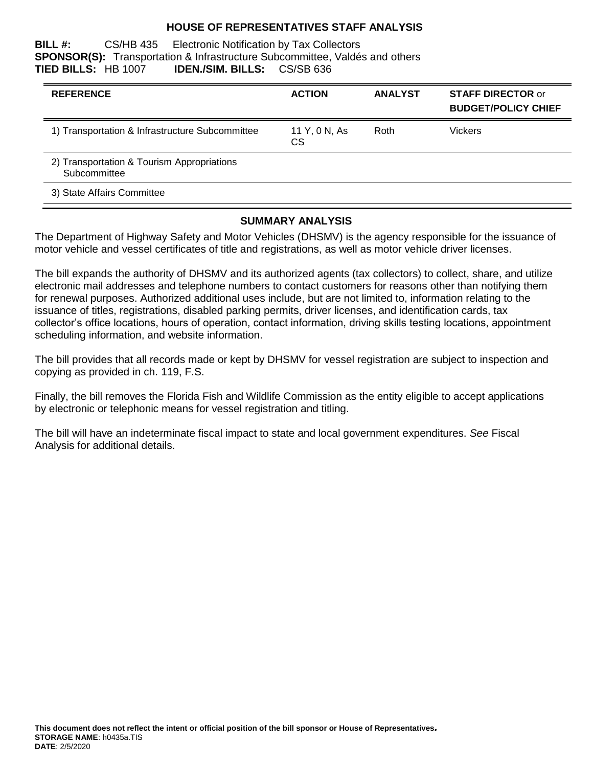#### **HOUSE OF REPRESENTATIVES STAFF ANALYSIS**

**BILL #:** CS/HB 435 Electronic Notification by Tax Collectors **SPONSOR(S):** Transportation & Infrastructure Subcommittee, Valdés and others **TIED BILLS:** HB 1007 **IDEN./SIM. BILLS:** CS/SB 636

| <b>REFERENCE</b>                                           | <b>ACTION</b>       | <b>ANALYST</b> | <b>STAFF DIRECTOR or</b><br><b>BUDGET/POLICY CHIEF</b> |
|------------------------------------------------------------|---------------------|----------------|--------------------------------------------------------|
| 1) Transportation & Infrastructure Subcommittee            | 11 Y, 0 N, As<br>СS | Roth           | <b>Vickers</b>                                         |
| 2) Transportation & Tourism Appropriations<br>Subcommittee |                     |                |                                                        |
| 3) State Affairs Committee                                 |                     |                |                                                        |

#### **SUMMARY ANALYSIS**

The Department of Highway Safety and Motor Vehicles (DHSMV) is the agency responsible for the issuance of motor vehicle and vessel certificates of title and registrations, as well as motor vehicle driver licenses.

The bill expands the authority of DHSMV and its authorized agents (tax collectors) to collect, share, and utilize electronic mail addresses and telephone numbers to contact customers for reasons other than notifying them for renewal purposes. Authorized additional uses include, but are not limited to, information relating to the issuance of titles, registrations, disabled parking permits, driver licenses, and identification cards, tax collector's office locations, hours of operation, contact information, driving skills testing locations, appointment scheduling information, and website information.

The bill provides that all records made or kept by DHSMV for vessel registration are subject to inspection and copying as provided in ch. 119, F.S.

Finally, the bill removes the Florida Fish and Wildlife Commission as the entity eligible to accept applications by electronic or telephonic means for vessel registration and titling.

The bill will have an indeterminate fiscal impact to state and local government expenditures. *See* Fiscal Analysis for additional details.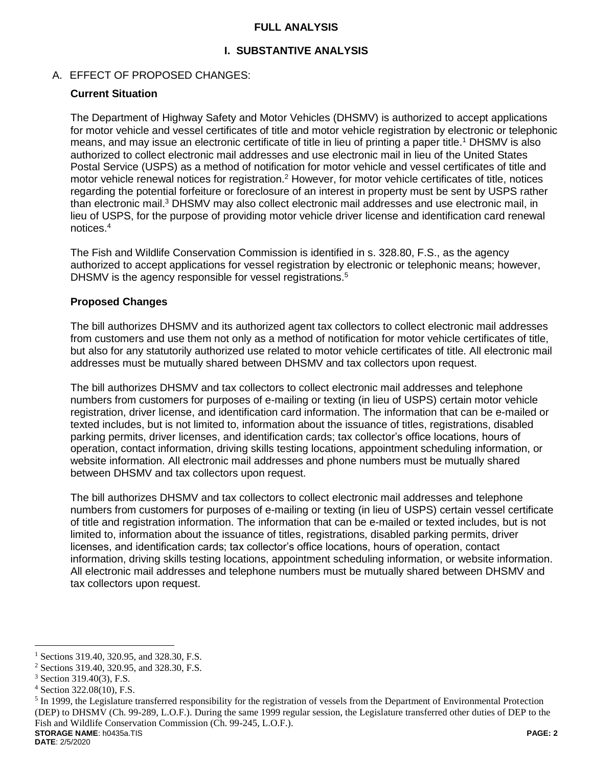#### **FULL ANALYSIS**

# **I. SUBSTANTIVE ANALYSIS**

# A. EFFECT OF PROPOSED CHANGES:

#### **Current Situation**

The Department of Highway Safety and Motor Vehicles (DHSMV) is authorized to accept applications for motor vehicle and vessel certificates of title and motor vehicle registration by electronic or telephonic means, and may issue an electronic certificate of title in lieu of printing a paper title.<sup>1</sup> DHSMV is also authorized to collect electronic mail addresses and use electronic mail in lieu of the United States Postal Service (USPS) as a method of notification for motor vehicle and vessel certificates of title and motor vehicle renewal notices for registration.<sup>2</sup> However, for motor vehicle certificates of title, notices regarding the potential forfeiture or foreclosure of an interest in property must be sent by USPS rather than electronic mail.<sup>3</sup> DHSMV may also collect electronic mail addresses and use electronic mail, in lieu of USPS, for the purpose of providing motor vehicle driver license and identification card renewal notices.<sup>4</sup>

The Fish and Wildlife Conservation Commission is identified in s. 328.80, F.S., as the agency authorized to accept applications for vessel registration by electronic or telephonic means; however, DHSMV is the agency responsible for vessel registrations.<sup>5</sup>

# **Proposed Changes**

The bill authorizes DHSMV and its authorized agent tax collectors to collect electronic mail addresses from customers and use them not only as a method of notification for motor vehicle certificates of title, but also for any statutorily authorized use related to motor vehicle certificates of title. All electronic mail addresses must be mutually shared between DHSMV and tax collectors upon request.

The bill authorizes DHSMV and tax collectors to collect electronic mail addresses and telephone numbers from customers for purposes of e-mailing or texting (in lieu of USPS) certain motor vehicle registration, driver license, and identification card information. The information that can be e-mailed or texted includes, but is not limited to, information about the issuance of titles, registrations, disabled parking permits, driver licenses, and identification cards; tax collector's office locations, hours of operation, contact information, driving skills testing locations, appointment scheduling information, or website information. All electronic mail addresses and phone numbers must be mutually shared between DHSMV and tax collectors upon request.

The bill authorizes DHSMV and tax collectors to collect electronic mail addresses and telephone numbers from customers for purposes of e-mailing or texting (in lieu of USPS) certain vessel certificate of title and registration information. The information that can be e-mailed or texted includes, but is not limited to, information about the issuance of titles, registrations, disabled parking permits, driver licenses, and identification cards; tax collector's office locations, hours of operation, contact information, driving skills testing locations, appointment scheduling information, or website information. All electronic mail addresses and telephone numbers must be mutually shared between DHSMV and tax collectors upon request.

**DATE**: 2/5/2020

 $\overline{a}$ <sup>1</sup> Sections 319.40, 320.95, and 328.30, F.S.

<sup>2</sup> Sections 319.40, 320.95, and 328.30, F.S.

<sup>3</sup> Section 319.40(3), F.S.

<sup>4</sup> Section 322.08(10), F.S.

**STORAGE NAME**: h0435a.TIS **PAGE: 2**  $<sup>5</sup>$  In 1999, the Legislature transferred responsibility for the registration of vessels from the Department of Environmental Protection</sup> (DEP) to DHSMV (Ch. 99-289, L.O.F.). During the same 1999 regular session, the Legislature transferred other duties of DEP to the Fish and Wildlife Conservation Commission (Ch. 99-245, L.O.F.).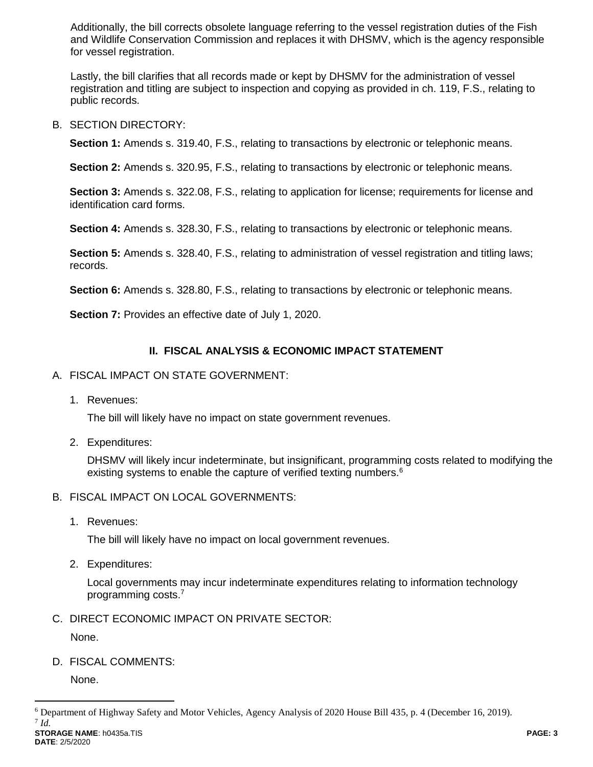Additionally, the bill corrects obsolete language referring to the vessel registration duties of the Fish and Wildlife Conservation Commission and replaces it with DHSMV, which is the agency responsible for vessel registration.

Lastly, the bill clarifies that all records made or kept by DHSMV for the administration of vessel registration and titling are subject to inspection and copying as provided in ch. 119, F.S., relating to public records.

B. SECTION DIRECTORY:

**Section 1:** Amends s. 319.40, F.S., relating to transactions by electronic or telephonic means.

**Section 2:** Amends s. 320.95, F.S., relating to transactions by electronic or telephonic means.

**Section 3:** Amends s. 322.08, F.S., relating to application for license; requirements for license and identification card forms.

**Section 4:** Amends s. 328.30, F.S., relating to transactions by electronic or telephonic means.

**Section 5:** Amends s. 328.40, F.S., relating to administration of vessel registration and titling laws; records.

**Section 6:** Amends s. 328.80, F.S., relating to transactions by electronic or telephonic means.

**Section 7:** Provides an effective date of July 1, 2020.

# **II. FISCAL ANALYSIS & ECONOMIC IMPACT STATEMENT**

- A. FISCAL IMPACT ON STATE GOVERNMENT:
	- 1. Revenues:

The bill will likely have no impact on state government revenues.

2. Expenditures:

DHSMV will likely incur indeterminate, but insignificant, programming costs related to modifying the existing systems to enable the capture of verified texting numbers.<sup>6</sup>

- B. FISCAL IMPACT ON LOCAL GOVERNMENTS:
	- 1. Revenues:

The bill will likely have no impact on local government revenues.

2. Expenditures:

Local governments may incur indeterminate expenditures relating to information technology programming costs.<sup>7</sup>

C. DIRECT ECONOMIC IMPACT ON PRIVATE SECTOR:

None.

D. FISCAL COMMENTS:

None.

 $\overline{a}$ 

**STORAGE NAME**: h0435a.TIS **PAGE: 3 DATE**: 2/5/2020

<sup>6</sup> Department of Highway Safety and Motor Vehicles, Agency Analysis of 2020 House Bill 435, p. 4 (December 16, 2019). 7 *Id.*